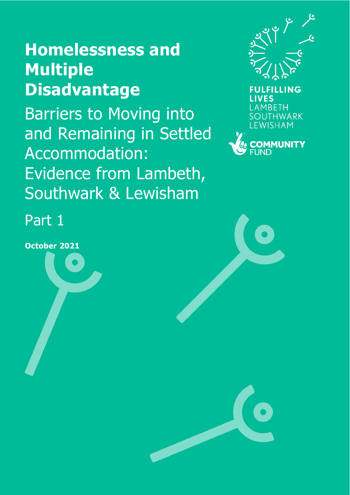# **Homelessness and Multiple Disadvantage**

Barriers to Moving into and Remaining in Settled Accommodation: Evidence from Lambeth, Southwark & Lewisham





Part 1

**October 2021**

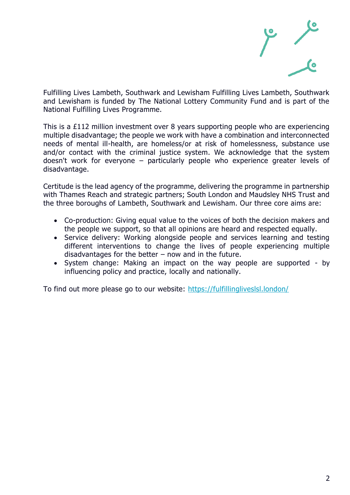

Fulfilling Lives Lambeth, Southwark and Lewisham Fulfilling Lives Lambeth, Southwark and Lewisham is funded by The National Lottery Community Fund and is part of the National Fulfilling Lives Programme.

This is a £112 million investment over 8 years supporting people who are experiencing multiple disadvantage; the people we work with have a combination and interconnected needs of mental ill-health, are homeless/or at risk of homelessness, substance use and/or contact with the criminal justice system. We acknowledge that the system doesn't work for everyone – particularly people who experience greater levels of disadvantage.

Certitude is the lead agency of the programme, delivering the programme in partnership with Thames Reach and strategic partners; South London and Maudsley NHS Trust and the three boroughs of Lambeth, Southwark and Lewisham. Our three core aims are:

- Co-production: Giving equal value to the voices of both the decision makers and the people we support, so that all opinions are heard and respected equally.
- Service delivery: Working alongside people and services learning and testing different interventions to change the lives of people experiencing multiple disadvantages for the better  $-$  now and in the future.
- System change: Making an impact on the way people are supported by influencing policy and practice, locally and nationally.

To find out more please go to our website:<https://fulfillingliveslsl.london/>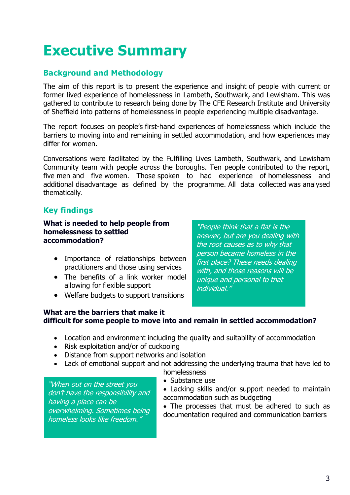## **Executive Summary**

## **Background and Methodology**

The aim of this report is to present the experience and insight of people with current or former lived experience of homelessness in Lambeth, Southwark, and Lewisham. This was gathered to contribute to research being done by The CFE Research Institute and University of Sheffield into patterns of homelessness in people experiencing multiple disadvantage.

The report focuses on people's first-hand experiences of homelessness which include the barriers to moving into and remaining in settled accommodation, and how experiences may differ for women.

Conversations were facilitated by the Fulfilling Lives Lambeth, Southwark, and Lewisham Community team with people across the boroughs. Ten people contributed to the report, five men and five women. Those spoken to had experience of homelessness and additional disadvantage as defined by the programme. All data collected was analysed thematically.

## **Key findings**

**What is needed to help people from homelessness to settled accommodation?**

- Importance of relationships between practitioners and those using services
- The benefits of a link worker model allowing for flexible support
- Welfare budgets to support transitions

"People think that a flat is the answer, but are you dealing with the root causes as to why that person became homeless in the first place? These needs dealing with, and those reasons will be unique and personal to that individual."

## **What are the barriers that make it difficult for some people to move into and remain in settled accommodation?**

- Location and environment including the quality and suitability of accommodation
- Risk exploitation and/or of cuckooing
- Distance from support networks and isolation
- Lack of emotional support and not addressing the underlying trauma that have led to homelessness

"When out on the street you don't have the responsibility and having a place can be overwhelming. Sometimes being homeless looks like freedom."

- Substance use
- Lacking skills and/or support needed to maintain accommodation such as budgeting

• The processes that must be adhered to such as documentation required and communication barriers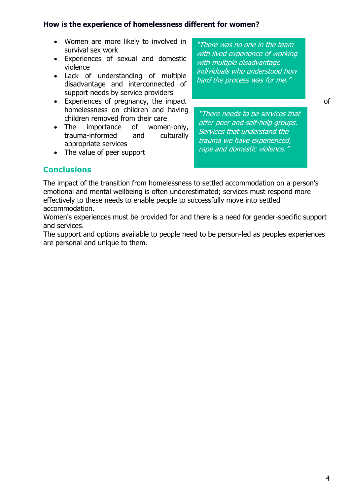#### **How is the experience of homelessness different for women?**

- Women are more likely to involved in survival sex work
- Experiences of sexual and domestic violence
- Lack of understanding of multiple disadvantage and interconnected of support needs by service providers
- Experiences of pregnancy, the impact **of the set of set of set of set of set of set of set of set of set of set of set of set of set of set of set of set of set of set of set of set of set of set of set of set of set of** homelessness on children and having children removed from their care
- The importance of women-only, trauma-informed and culturally appropriate services
- The value of peer support

"There was no one in the team with lived experience of working with multiple disadvantage individuals who understood how hard the process was for me."

"There needs to be services that offer peer and self-help groups. Services that understand the trauma we have experienced, rape and domestic violence."

## **Conclusions**

The impact of the transition from homelessness to settled accommodation on a person's emotional and mental wellbeing is often underestimated; services must respond more effectively to these needs to enable people to successfully move into settled accommodation.

Women's experiences must be provided for and there is a need for gender-specific support and services.

The support and options available to people need to be person-led as peoples experiences are personal and unique to them.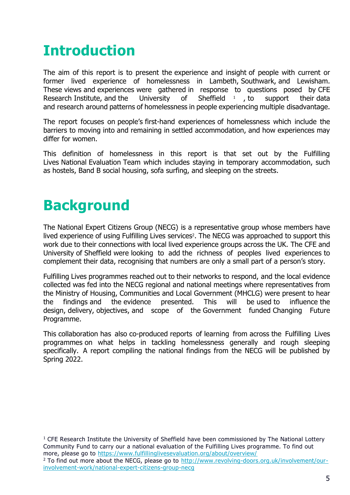## **Introduction**

The aim of this report is to present the experience and insight of people with current or former lived experience of homelessness in Lambeth, Southwark, and Lewisham. These views and experiences were gathered in response to questions posed by CFE Research Institute, and the University of Sheffield  $\frac{1}{1}$ , to support their data and research around patterns of homelessness in people experiencing multiple disadvantage.

The report focuses on people's first-hand experiences of homelessness which include the barriers to moving into and remaining in settled accommodation, and how experiences may differ for women.

This definition of homelessness in this report is that set out by the Fulfilling Lives National Evaluation Team which includes staying in temporary accommodation, such as hostels, Band B social housing, sofa surfing, and sleeping on the streets.

## **Background**

The National Expert Citizens Group (NECG) is a representative group whose members have lived experience of using Fulfilling Lives services<sup>2</sup>. The NECG was approached to support this work due to their connections with local lived experience groups across the UK. The CFE and University of Sheffield were looking to add the richness of peoples lived experiences to complement their data, recognising that numbers are only a small part of a person's story.

Fulfilling Lives programmes reached out to their networks to respond, and the local evidence collected was fed into the NECG regional and national meetings where representatives from the Ministry of Housing, Communities and Local Government (MHCLG) were present to hear the findings and the evidence presented. This will be used to influence the design, delivery, objectives, and scope of the Government funded Changing Future Programme.

This collaboration has also co-produced reports of learning from across the Fulfilling Lives programmes on what helps in tackling homelessness generally and rough sleeping specifically. A report compiling the national findings from the NECG will be published by Spring 2022.

 $1$  CFE Research Institute the University of Sheffield have been commissioned by The National Lottery Community Fund to carry our a national evaluation of the Fulfilling Lives programme. To find out more, please go to<https://www.fulfillinglivesevaluation.org/about/overview/> <sup>2</sup> To find out more about the NECG, please go to [http://www.revolving-doors.org.uk/involvement/our](http://www.revolving-doors.org.uk/involvement/our-involvement-work/national-expert-citizens-group-necg)[involvement-work/national-expert-citizens-group-necg](http://www.revolving-doors.org.uk/involvement/our-involvement-work/national-expert-citizens-group-necg)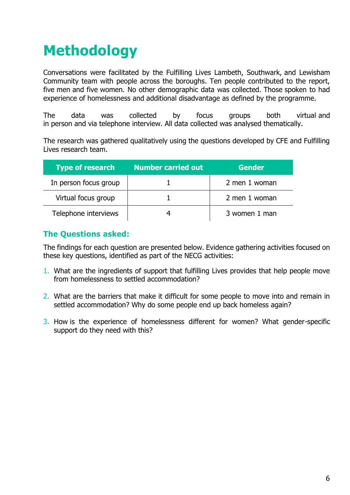# **Methodology**

Conversations were facilitated by the Fulfilling Lives Lambeth, Southwark, and Lewisham Community team with people across the boroughs. Ten people contributed to the report, five men and five women. No other demographic data was collected. Those spoken to had experience of homelessness and additional disadvantage as defined by the programme.

The data was collected by focus groups both virtual and in person and via telephone interview. All data collected was analysed thematically.

The research was gathered qualitatively using the questions developed by CFE and Fulfilling Lives research team.

| <b>Type of research</b> | <b>Number carried out</b> | <b>Gender</b> ' |
|-------------------------|---------------------------|-----------------|
| In person focus group   |                           | 2 men 1 woman   |
| Virtual focus group     |                           | 2 men 1 woman   |
| Telephone interviews    |                           | 3 women 1 man   |

## **The Questions asked:**

The findings for each question are presented below. Evidence gathering activities focused on these key questions, identified as part of the NECG activities:

- 1. What are the ingredients of support that fulfilling Lives provides that help people move from homelessness to settled accommodation?
- 2. What are the barriers that make it difficult for some people to move into and remain in settled accommodation? Why do some people end up back homeless again?
- 3. How is the experience of homelessness different for women? What gender-specific support do they need with this?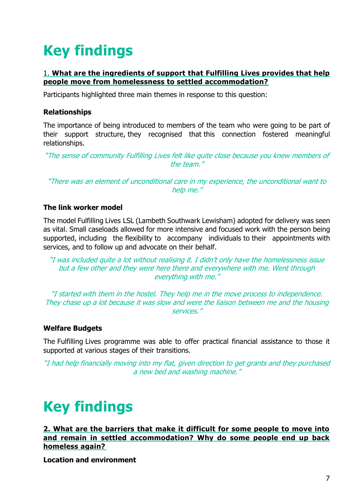# **Key findings**

## 1. **What are the ingredients of support that Fulfilling Lives provides that help people move from homelessness to settled accommodation?**

Participants highlighted three main themes in response to this question:

### **Relationships**

The importance of being introduced to members of the team who were going to be part of their support structure, they recognised that this connection fostered meaningful relationships.

"The sense of community Fulfilling Lives felt like quite close because you knew members of the team."

"There was an element of unconditional care in my experience, the unconditional want to help me."

#### **The link worker model**

The model Fulfilling Lives LSL (Lambeth Southwark Lewisham) adopted for delivery was seen as vital. Small caseloads allowed for more intensive and focused work with the person being supported, including the flexibility to accompany individuals to their appointments with services, and to follow up and advocate on their behalf.

"I was included quite a lot without realising it. I didn't only have the homelessness issue but a few other and they were here there and everywhere with me. Went through everything with me."

"I started with them in the hostel. They help me in the move process to independence. They chase up a lot because it was slow and were the liaison between me and the housing services."

#### **Welfare Budgets**

The Fulfilling Lives programme was able to offer practical financial assistance to those it supported at various stages of their transitions.

"I had help financially moving into my flat, given direction to get grants and they purchased a new bed and washing machine."

## **Key findings**

**2. What are the barriers that make it difficult for some people to move into and remain in settled accommodation? Why do some people end up back homeless again?**

**Location and environment**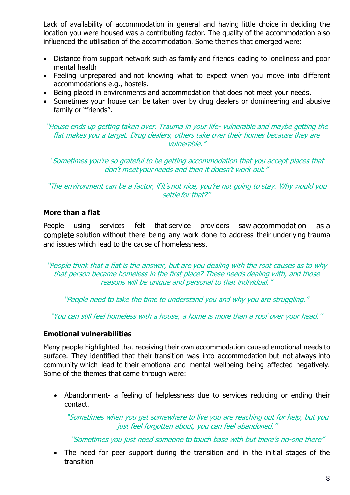Lack of availability of accommodation in general and having little choice in deciding the location you were housed was a contributing factor. The quality of the accommodation also influenced the utilisation of the accommodation. Some themes that emerged were:

- Distance from support network such as family and friends leading to loneliness and poor mental health
- Feeling unprepared and not knowing what to expect when you move into different accommodations e.g., hostels.
- Being placed in environments and accommodation that does not meet your needs.
- Sometimes your house can be taken over by drug dealers or domineering and abusive family or "friends".

"House ends up getting taken over. Trauma in your life- vulnerable and maybe getting the flat makes you a target. Drug dealers, others take over their homes because they are vulnerable."

"Sometimes you're so grateful to be getting accommodation that you accept places that don't meet your needs and then it doesn't work out." 

"The environment can be a factor, if it's not nice, you're not going to stay. Why would you settle for that?" 

## **More than a flat**

People using services felt that service providers saw accommodation as a complete solution without there being any work done to address their underlying trauma and issues which lead to the cause of homelessness.

"People think that a flat is the answer, but are you dealing with the root causes as to why that person became homeless in the first place? These needs dealing with, and those reasons will be unique and personal to that individual." 

"People need to take the time to understand you and why you are struggling." 

"You can still feel homeless with a house, a home is more than a roof over your head." 

#### **Emotional vulnerabilities**

Many people highlighted that receiving their own accommodation caused emotional needs to surface. They identified that their transition was into accommodation but not always into community which lead to their emotional and mental wellbeing being affected negatively. Some of the themes that came through were:

• Abandonment- a feeling of helplessness due to services reducing or ending their contact.

"Sometimes when you get somewhere to live you are reaching out for help, but you just feel forgotten about, you can feel abandoned."

"Sometimes you just need someone to touch base with but there's no-one there"

• The need for peer support during the transition and in the initial stages of the transition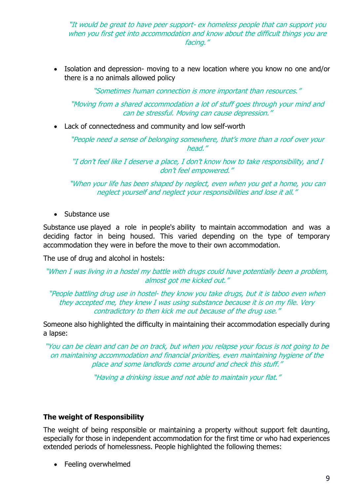"It would be great to have peer support- ex homeless people that can support you when you first get into accommodation and know about the difficult things you are facing." 

• Isolation and depression- moving to a new location where you know no one and/or there is a no animals allowed policy

"Sometimes human connection is more important than resources." 

"Moving from a shared accommodation a lot of stuff goes through your mind and can be stressful. Moving can cause depression."

• Lack of connectedness and community and low self-worth

"People need a sense of belonging somewhere, that's more than a roof over your head." 

"I don't feel like I deserve a place, I don't know how to take responsibility, and I don't feel empowered."  

"When your life has been shaped by neglect, even when you get a home, you can neglect yourself and neglect your responsibilities and lose it all." 

• Substance use

Substance use played a role in people's ability to maintain accommodation and was a deciding factor in being housed. This varied depending on the type of temporary accommodation they were in before the move to their own accommodation.

The use of drug and alcohol in hostels:

"When I was living in a hostel my battle with drugs could have potentially been a problem, almost got me kicked out."

"People battling drug use in hostel- they know you take drugs, but it is taboo even when they accepted me, they knew I was using substance because it is on my file. Very contradictory to then kick me out because of the drug use."

Someone also highlighted the difficulty in maintaining their accommodation especially during a lapse:

"You can be clean and can be on track, but when you relapse your focus is not going to be on maintaining accommodation and financial priorities, even maintaining hygiene of the place and some landlords come around and check this stuff."

"Having a drinking issue and not able to maintain your flat."

#### **The weight of Responsibility**

The weight of being responsible or maintaining a property without support felt daunting, especially for those in independent accommodation for the first time or who had experiences extended periods of homelessness. People highlighted the following themes:

• Feeling overwhelmed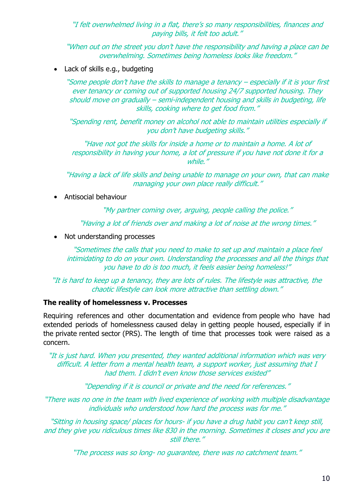"I felt overwhelmed living in a flat, there's so many responsibilities, finances and paying bills, it felt too adult." 

"When out on the street you don't have the responsibility and having a place can be overwhelming. Sometimes being homeless looks like freedom."

Lack of skills e.g., budgeting

"Some people don't have the skills to manage a tenancy – especially if it is your first ever tenancy or coming out of supported housing 24/7 supported housing. They should move on gradually – semi-independent housing and skills in budgeting, life skills, cooking where to get food from."

"Spending rent, benefit money on alcohol not able to maintain utilities especially if you don't have budgeting skills."

"Have not got the skills for inside a home or to maintain a home. A lot of responsibility in having your home, a lot of pressure if you have not done it for a while."

"Having a lack of life skills and being unable to manage on your own, that can make managing your own place really difficult."

• Antisocial behaviour

"My partner coming over, arguing, people calling the police."

"Having a lot of friends over and making a lot of noise at the wrong times."

• Not understanding processes

"Sometimes the calls that you need to make to set up and maintain a place feel intimidating to do on your own. Understanding the processes and all the things that you have to do is too much, it feels easier being homeless!" 

"It is hard to keep up a tenancy, they are lots of rules. The lifestyle was attractive, the chaotic lifestyle can look more attractive than settling down."

#### **The reality of homelessness v. Processes**

Requiring references and other documentation and evidence from people who have had extended periods of homelessness caused delay in getting people housed, especially if in the private rented sector (PRS). The length of time that processes took were raised as a concern.

"It is just hard. When you presented, they wanted additional information which was very difficult. A letter from <sup>a</sup> mental health team, <sup>a</sup> support worker, just assuming that I had them. I didn't even know those services existed"

"Depending if it is council or private and the need for references."

"There was no one in the team with lived experience of working with multiple disadvantage individuals who understood how hard the process was for me."

"Sitting in housing space/ places for hours- if you have a drug habit you can't keep still, and they give you ridiculous times like 830 in the morning. Sometimes it closes and you are still there."

"The process was so long- no guarantee, there was no catchment team."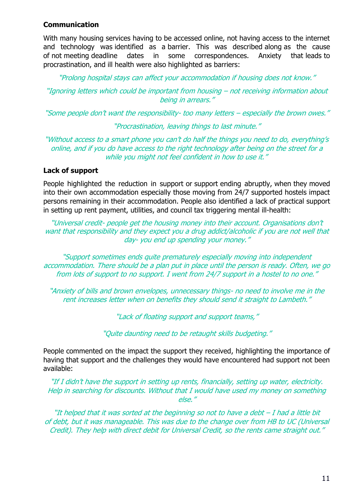## **Communication**

With many housing services having to be accessed online, not having access to the internet and technology was identified as a barrier. This was described along as the cause of not meeting deadline dates in some correspondences. Anxiety that leads to procrastination, and ill health were also highlighted as barriers:

"Prolong hospital stays can affect your accommodation if housing does not know."

"Ignoring letters which could be important from housing – not receiving information about being in arrears."

"Some people don't want the responsibility- too many letters – especially the brown owes."

"Procrastination, leaving things to last minute."

"Without access to a smart phone you can't do half the things you need to do, everything's online, and if you do have access to the right technology after being on the street for a while you might not feel confident in how to use it."

## **Lack of support**

People highlighted the reduction in support or support ending abruptly, when they moved into their own accommodation especially those moving from 24/7 supported hostels impact persons remaining in their accommodation. People also identified a lack of practical support in setting up rent payment, utilities, and council tax triggering mental ill-health:

"Universal credit- people get the housing money into their account. Organisations don't want that responsibility and they expect you a drug addict/alcoholic if you are not well that day- you end up spending your money."

"Support sometimes ends quite prematurely especially moving into independent accommodation. There should be a plan put in place until the person is ready. Often, we go from lots of support to no support. I went from 24/7 support in a hostel to no one."

"Anxiety of bills and brown envelopes, unnecessary things- no need to involve me in the rent increases letter when on benefits they should send it straight to Lambeth."

"Lack of floating support and support teams,"

"Quite daunting need to be retaught skills budgeting."

People commented on the impact the support they received, highlighting the importance of having that support and the challenges they would have encountered had support not been available:

"If I didn't have the support in setting up rents, financially, setting up water, electricity. Help in searching for discounts. Without that I would have used my money on something else."

"It helped that it was sorted at the beginning so not to have a debt – I had a little bit of debt, but it was manageable. This was due to the change over from HB to UC (Universal Credit). They help with direct debit for Universal Credit, so the rents came straight out."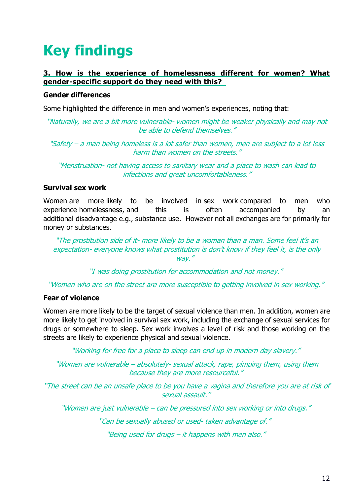# **Key findings**

## **3.    How is the experience of homelessness different for women? What gender-specific support do they need with this?**

### **Gender differences**

Some highlighted the difference in men and women's experiences, noting that:

"Naturally, we are a bit more vulnerable- women might be weaker physically and may not be able to defend themselves."

"Safety – a man being homeless is a lot safer than women, men are subject to a lot less harm than women on the streets."

"Menstruation- not having access to sanitary wear and a place to wash can lead to infections and great uncomfortableness."

#### **Survival sex work**

Women are more likely to be involved in sex work compared to men who experience homelessness, and this is often accompanied by an additional disadvantage e.g., substance use. However not all exchanges are for primarily for money or substances.

"The prostitution side of it- more likely to be a woman than a man. Some feel it's an expectation- everyone knows what prostitution is don't know if they feel it, is the only way."

"I was doing prostitution for accommodation and not money."

"Women who are on the street are more susceptible to getting involved in sex working."

## **Fear of violence**

Women are more likely to be the target of sexual violence than men. In addition, women are more likely to get involved in survival sex work, including the exchange of sexual services for drugs or somewhere to sleep. Sex work involves a level of risk and those working on the streets are likely to experience physical and sexual violence.

"Working for free for a place to sleep can end up in modern day slavery."

"Women are vulnerable – absolutely- sexual attack, rape, pimping them, using them because they are more resourceful."

"The street can be an unsafe place to be you have a vagina and therefore you are at risk of sexual assault."

"Women are just vulnerable – can be pressured into sex working or into drugs."

"Can be sexually abused or used- taken advantage of."

"Being used for drugs – it happens with men also."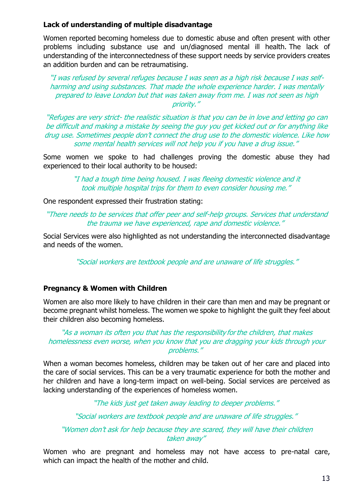## **Lack of understanding of multiple disadvantage**

Women reported becoming homeless due to domestic abuse and often present with other problems including substance use and un/diagnosed mental ill health. The lack of understanding of the interconnectedness of these support needs by service providers creates an addition burden and can be retraumatising.

"I was refused by several refuges because I was seen as a high risk because I was selfharming and using substances. That made the whole experience harder. I was mentally prepared to leave London but that was taken away from me. I was not seen as high priority."

"Refuges are very strict- the realistic situation is that you can be in love and letting go can be difficult and making a mistake by seeing the guy you get kicked out or for anything like drug use. Sometimes people don't connect the drug use to the domestic violence. Like how some mental health services will not help you if you have a drug issue."

Some women we spoke to had challenges proving the domestic abuse they had experienced to their local authority to be housed:

> "I had a tough time being housed. I was fleeing domestic violence and it took multiple hospital trips for them to even consider housing me."

One respondent expressed their frustration stating:

"There needs to be services that offer peer and self-help groups. Services that understand the trauma we have experienced, rape and domestic violence." 

Social Services were also highlighted as not understanding the interconnected disadvantage and needs of the women.

"Social workers are textbook people and are unaware of life struggles."

#### **Pregnancy & Women with Children**

Women are also more likely to have children in their care than men and may be pregnant or become pregnant whilst homeless. The women we spoke to highlight the guilt they feel about their children also becoming homeless.

#### "As a woman its often you that has the responsibility for the children, that makes homelessness even worse, when you know that you are dragging your kids through your problems."

When a woman becomes homeless, children may be taken out of her care and placed into the care of social services. This can be a very traumatic experience for both the mother and her children and have a long-term impact on well-being. Social services are perceived as lacking understanding of the experiences of homeless women.

"The kids just get taken away leading to deeper problems."

"Social workers are textbook people and are unaware of life struggles."

## "Women don't ask for help because they are scared, they will have their children taken away"

Women who are pregnant and homeless may not have access to pre-natal care, which can impact the health of the mother and child.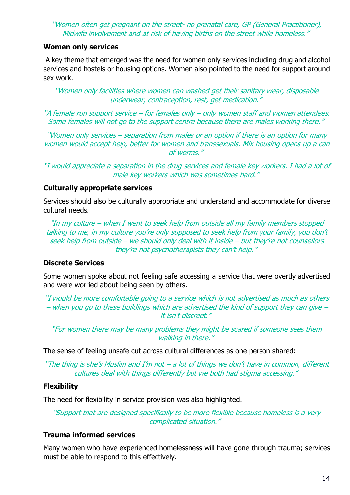"Women often get pregnant on the street- no prenatal care, GP (General Practitioner), Midwife involvement and at risk of having births on the street while homeless."

### **Women only services**

A key theme that emerged was the need for women only services including drug and alcohol services and hostels or housing options. Women also pointed to the need for support around sex work.

"Women only facilities where women can washed get their sanitary wear, disposable underwear, contraception, rest, get medication."

"A female run support service – for females only – only women staff and women attendees. Some females will not go to the support centre because there are males working there."

"Women only services – separation from males or an option if there is an option for many women would accept help, better for women and transsexuals. Mix housing opens up a can of worms."

"I would appreciate a separation in the drug services and female key workers. I had a lot of male key workers which was sometimes hard."

## **Culturally appropriate services**

Services should also be culturally appropriate and understand and accommodate for diverse cultural needs.

"In my culture – when I went to seek help from outside all my family members stopped talking to me, in my culture you're only supposed to seek help from your family, you don't seek help from outside – we should only deal with it inside – but they're not counsellors they're not psychotherapists they can't help."

## **Discrete Services**

Some women spoke about not feeling safe accessing a service that were overtly advertised and were worried about being seen by others.

"I would be more comfortable going to a service which is not advertised as much as others – when you go to these buildings which are advertised the kind of support they can give – it isn't discreet."

"For women there may be many problems they might be scared if someone sees them walking in there."

The sense of feeling unsafe cut across cultural differences as one person shared:

"The thing is she's Muslim and I'm not – a lot of things we don't have in common, different cultures deal with things differently but we both had stigma accessing."

## **Flexibility**

The need for flexibility in service provision was also highlighted.

"Support that are designed specifically to be more flexible because homeless is a very complicated situation."

## **Trauma informed services**

Many women who have experienced homelessness will have gone through trauma; services must be able to respond to this effectively.